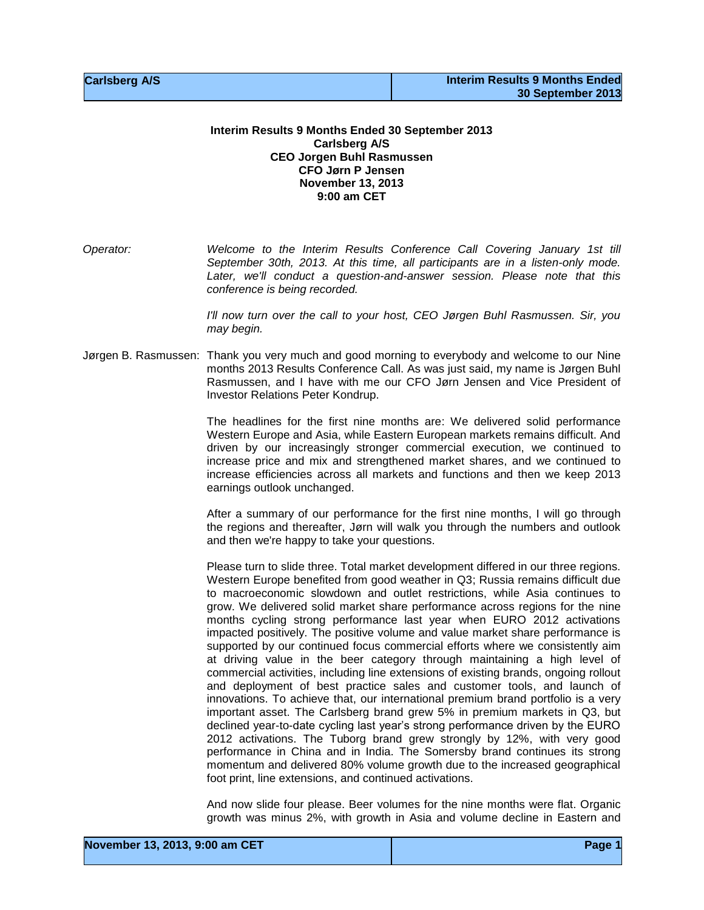## **Interim Results 9 Months Ended 30 September 2013 Carlsberg A/S CEO Jorgen Buhl Rasmussen CFO Jørn P Jensen November 13, 2013 9:00 am CET**

*Operator: Welcome to the Interim Results Conference Call Covering January 1st till September 30th, 2013. At this time, all participants are in a listen-only mode. Later, we'll conduct a question-and-answer session. Please note that this conference is being recorded.*

> *I'll now turn over the call to your host, CEO Jørgen Buhl Rasmussen. Sir, you may begin.*

Jørgen B. Rasmussen: Thank you very much and good morning to everybody and welcome to our Nine months 2013 Results Conference Call. As was just said, my name is Jørgen Buhl Rasmussen, and I have with me our CFO Jørn Jensen and Vice President of Investor Relations Peter Kondrup.

> The headlines for the first nine months are: We delivered solid performance Western Europe and Asia, while Eastern European markets remains difficult. And driven by our increasingly stronger commercial execution, we continued to increase price and mix and strengthened market shares, and we continued to increase efficiencies across all markets and functions and then we keep 2013 earnings outlook unchanged.

> After a summary of our performance for the first nine months, I will go through the regions and thereafter, Jørn will walk you through the numbers and outlook and then we're happy to take your questions.

> Please turn to slide three. Total market development differed in our three regions. Western Europe benefited from good weather in Q3; Russia remains difficult due to macroeconomic slowdown and outlet restrictions, while Asia continues to grow. We delivered solid market share performance across regions for the nine months cycling strong performance last year when EURO 2012 activations impacted positively. The positive volume and value market share performance is supported by our continued focus commercial efforts where we consistently aim at driving value in the beer category through maintaining a high level of commercial activities, including line extensions of existing brands, ongoing rollout and deployment of best practice sales and customer tools, and launch of innovations. To achieve that, our international premium brand portfolio is a very important asset. The Carlsberg brand grew 5% in premium markets in Q3, but declined year-to-date cycling last year's strong performance driven by the EURO 2012 activations. The Tuborg brand grew strongly by 12%, with very good performance in China and in India. The Somersby brand continues its strong momentum and delivered 80% volume growth due to the increased geographical foot print, line extensions, and continued activations.

> And now slide four please. Beer volumes for the nine months were flat. Organic growth was minus 2%, with growth in Asia and volume decline in Eastern and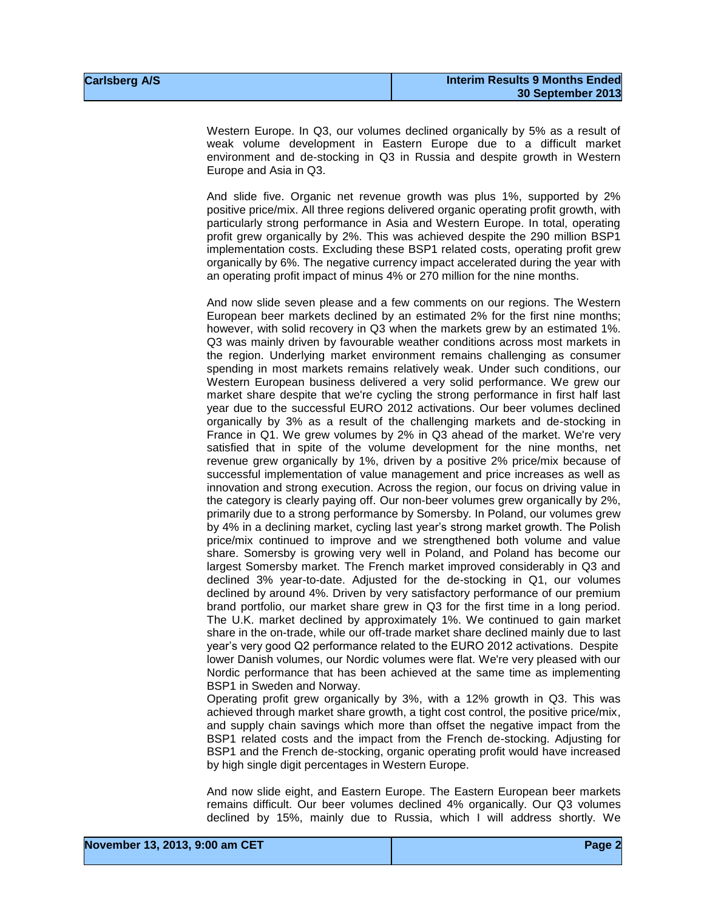Western Europe. In Q3, our volumes declined organically by 5% as a result of weak volume development in Eastern Europe due to a difficult market environment and de-stocking in Q3 in Russia and despite growth in Western Europe and Asia in Q3.

And slide five. Organic net revenue growth was plus 1%, supported by 2% positive price/mix. All three regions delivered organic operating profit growth, with particularly strong performance in Asia and Western Europe. In total, operating profit grew organically by 2%. This was achieved despite the 290 million BSP1 implementation costs. Excluding these BSP1 related costs, operating profit grew organically by 6%. The negative currency impact accelerated during the year with an operating profit impact of minus 4% or 270 million for the nine months.

And now slide seven please and a few comments on our regions. The Western European beer markets declined by an estimated 2% for the first nine months; however, with solid recovery in Q3 when the markets grew by an estimated 1%. Q3 was mainly driven by favourable weather conditions across most markets in the region. Underlying market environment remains challenging as consumer spending in most markets remains relatively weak. Under such conditions, our Western European business delivered a very solid performance. We grew our market share despite that we're cycling the strong performance in first half last year due to the successful EURO 2012 activations. Our beer volumes declined organically by 3% as a result of the challenging markets and de-stocking in France in Q1. We grew volumes by 2% in Q3 ahead of the market. We're very satisfied that in spite of the volume development for the nine months, net revenue grew organically by 1%, driven by a positive 2% price/mix because of successful implementation of value management and price increases as well as innovation and strong execution. Across the region, our focus on driving value in the category is clearly paying off. Our non-beer volumes grew organically by 2%, primarily due to a strong performance by Somersby. In Poland, our volumes grew by 4% in a declining market, cycling last year's strong market growth. The Polish price/mix continued to improve and we strengthened both volume and value share. Somersby is growing very well in Poland, and Poland has become our largest Somersby market. The French market improved considerably in Q3 and declined 3% year-to-date. Adjusted for the de-stocking in Q1, our volumes declined by around 4%. Driven by very satisfactory performance of our premium brand portfolio, our market share grew in Q3 for the first time in a long period. The U.K. market declined by approximately 1%. We continued to gain market share in the on-trade, while our off-trade market share declined mainly due to last year's very good Q2 performance related to the EURO 2012 activations. Despite lower Danish volumes, our Nordic volumes were flat. We're very pleased with our Nordic performance that has been achieved at the same time as implementing BSP1 in Sweden and Norway.

Operating profit grew organically by 3%, with a 12% growth in Q3. This was achieved through market share growth, a tight cost control, the positive price/mix, and supply chain savings which more than offset the negative impact from the BSP1 related costs and the impact from the French de-stocking. Adjusting for BSP1 and the French de-stocking, organic operating profit would have increased by high single digit percentages in Western Europe.

And now slide eight, and Eastern Europe. The Eastern European beer markets remains difficult. Our beer volumes declined 4% organically. Our Q3 volumes declined by 15%, mainly due to Russia, which I will address shortly. We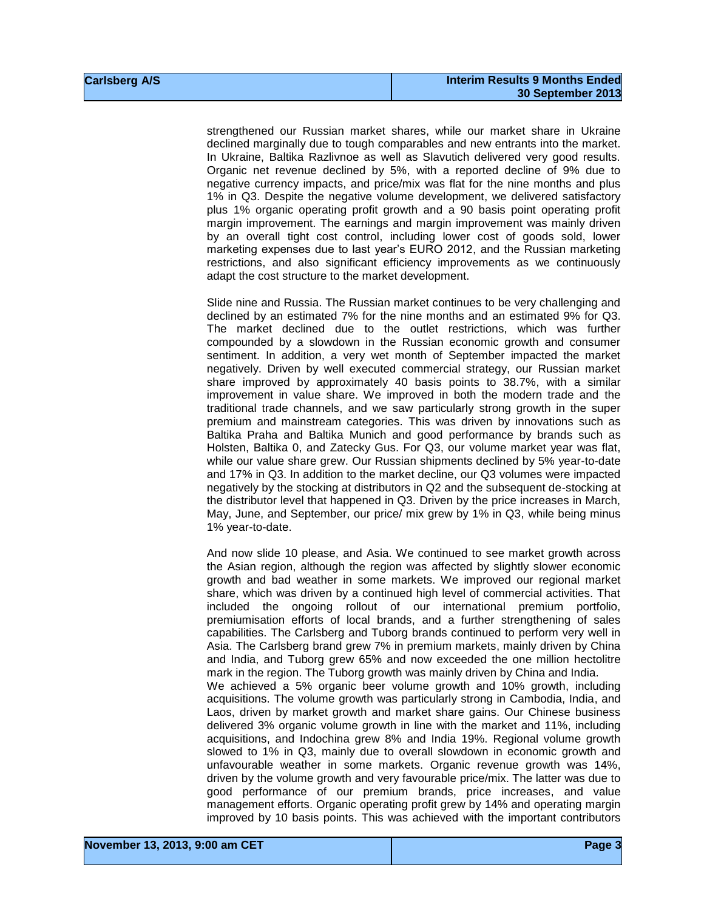strengthened our Russian market shares, while our market share in Ukraine declined marginally due to tough comparables and new entrants into the market. In Ukraine, Baltika Razlivnoe as well as Slavutich delivered very good results. Organic net revenue declined by 5%, with a reported decline of 9% due to negative currency impacts, and price/mix was flat for the nine months and plus 1% in Q3. Despite the negative volume development, we delivered satisfactory plus 1% organic operating profit growth and a 90 basis point operating profit margin improvement. The earnings and margin improvement was mainly driven by an overall tight cost control, including lower cost of goods sold, lower marketing expenses due to last year's EURO 2012, and the Russian marketing restrictions, and also significant efficiency improvements as we continuously adapt the cost structure to the market development.

Slide nine and Russia. The Russian market continues to be very challenging and declined by an estimated 7% for the nine months and an estimated 9% for Q3. The market declined due to the outlet restrictions, which was further compounded by a slowdown in the Russian economic growth and consumer sentiment. In addition, a very wet month of September impacted the market negatively. Driven by well executed commercial strategy, our Russian market share improved by approximately 40 basis points to 38.7%, with a similar improvement in value share. We improved in both the modern trade and the traditional trade channels, and we saw particularly strong growth in the super premium and mainstream categories. This was driven by innovations such as Baltika Praha and Baltika Munich and good performance by brands such as Holsten, Baltika 0, and Zatecky Gus. For Q3, our volume market year was flat, while our value share grew. Our Russian shipments declined by 5% year-to-date and 17% in Q3. In addition to the market decline, our Q3 volumes were impacted negatively by the stocking at distributors in Q2 and the subsequent de-stocking at the distributor level that happened in Q3. Driven by the price increases in March, May, June, and September, our price/ mix grew by 1% in Q3, while being minus 1% year-to-date.

And now slide 10 please, and Asia. We continued to see market growth across the Asian region, although the region was affected by slightly slower economic growth and bad weather in some markets. We improved our regional market share, which was driven by a continued high level of commercial activities. That included the ongoing rollout of our international premium portfolio, premiumisation efforts of local brands, and a further strengthening of sales capabilities. The Carlsberg and Tuborg brands continued to perform very well in Asia. The Carlsberg brand grew 7% in premium markets, mainly driven by China and India, and Tuborg grew 65% and now exceeded the one million hectolitre mark in the region. The Tuborg growth was mainly driven by China and India. We achieved a 5% organic beer volume growth and 10% growth, including acquisitions. The volume growth was particularly strong in Cambodia, India, and Laos, driven by market growth and market share gains. Our Chinese business delivered 3% organic volume growth in line with the market and 11%, including acquisitions, and Indochina grew 8% and India 19%. Regional volume growth slowed to 1% in Q3, mainly due to overall slowdown in economic growth and unfavourable weather in some markets. Organic revenue growth was 14%, driven by the volume growth and very favourable price/mix. The latter was due to good performance of our premium brands, price increases, and value management efforts. Organic operating profit grew by 14% and operating margin improved by 10 basis points. This was achieved with the important contributors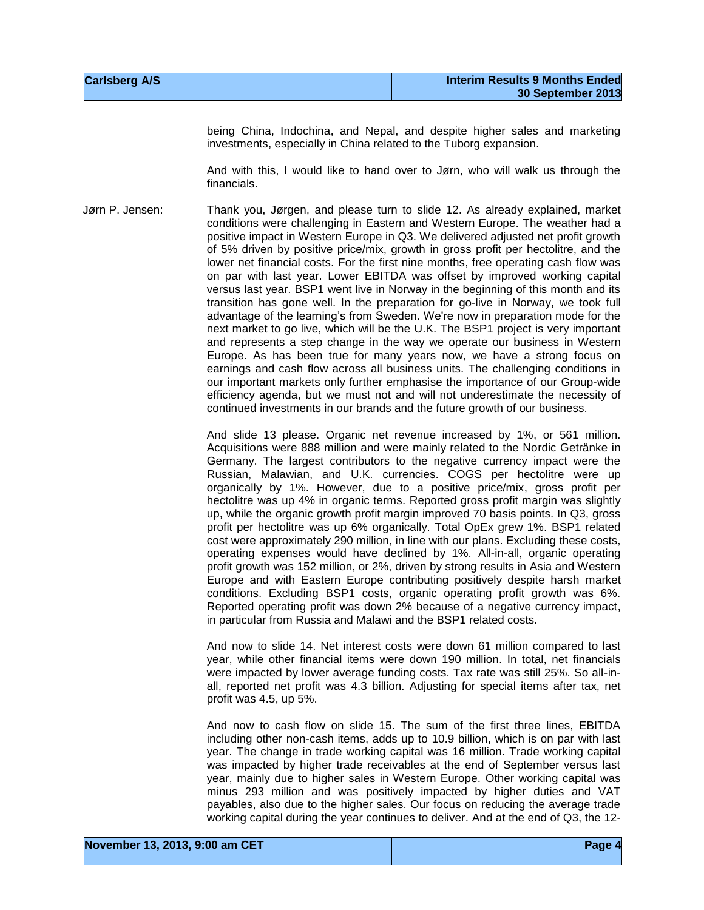being China, Indochina, and Nepal, and despite higher sales and marketing investments, especially in China related to the Tuborg expansion.

And with this, I would like to hand over to Jørn, who will walk us through the financials.

Jørn P. Jensen: Thank you, Jørgen, and please turn to slide 12. As already explained, market conditions were challenging in Eastern and Western Europe. The weather had a positive impact in Western Europe in Q3. We delivered adjusted net profit growth of 5% driven by positive price/mix, growth in gross profit per hectolitre, and the lower net financial costs. For the first nine months, free operating cash flow was on par with last year. Lower EBITDA was offset by improved working capital versus last year. BSP1 went live in Norway in the beginning of this month and its transition has gone well. In the preparation for go-live in Norway, we took full advantage of the learning's from Sweden. We're now in preparation mode for the next market to go live, which will be the U.K. The BSP1 project is very important and represents a step change in the way we operate our business in Western Europe. As has been true for many years now, we have a strong focus on earnings and cash flow across all business units. The challenging conditions in our important markets only further emphasise the importance of our Group-wide efficiency agenda, but we must not and will not underestimate the necessity of continued investments in our brands and the future growth of our business.

> And slide 13 please. Organic net revenue increased by 1%, or 561 million. Acquisitions were 888 million and were mainly related to the Nordic Getränke in Germany. The largest contributors to the negative currency impact were the Russian, Malawian, and U.K. currencies. COGS per hectolitre were up organically by 1%. However, due to a positive price/mix, gross profit per hectolitre was up 4% in organic terms. Reported gross profit margin was slightly up, while the organic growth profit margin improved 70 basis points. In Q3, gross profit per hectolitre was up 6% organically. Total OpEx grew 1%. BSP1 related cost were approximately 290 million, in line with our plans. Excluding these costs, operating expenses would have declined by 1%. All-in-all, organic operating profit growth was 152 million, or 2%, driven by strong results in Asia and Western Europe and with Eastern Europe contributing positively despite harsh market conditions. Excluding BSP1 costs, organic operating profit growth was 6%. Reported operating profit was down 2% because of a negative currency impact, in particular from Russia and Malawi and the BSP1 related costs.

> And now to slide 14. Net interest costs were down 61 million compared to last year, while other financial items were down 190 million. In total, net financials were impacted by lower average funding costs. Tax rate was still 25%. So all-inall, reported net profit was 4.3 billion. Adjusting for special items after tax, net profit was 4.5, up 5%.

> And now to cash flow on slide 15. The sum of the first three lines, EBITDA including other non-cash items, adds up to 10.9 billion, which is on par with last year. The change in trade working capital was 16 million. Trade working capital was impacted by higher trade receivables at the end of September versus last year, mainly due to higher sales in Western Europe. Other working capital was minus 293 million and was positively impacted by higher duties and VAT payables, also due to the higher sales. Our focus on reducing the average trade working capital during the year continues to deliver. And at the end of Q3, the 12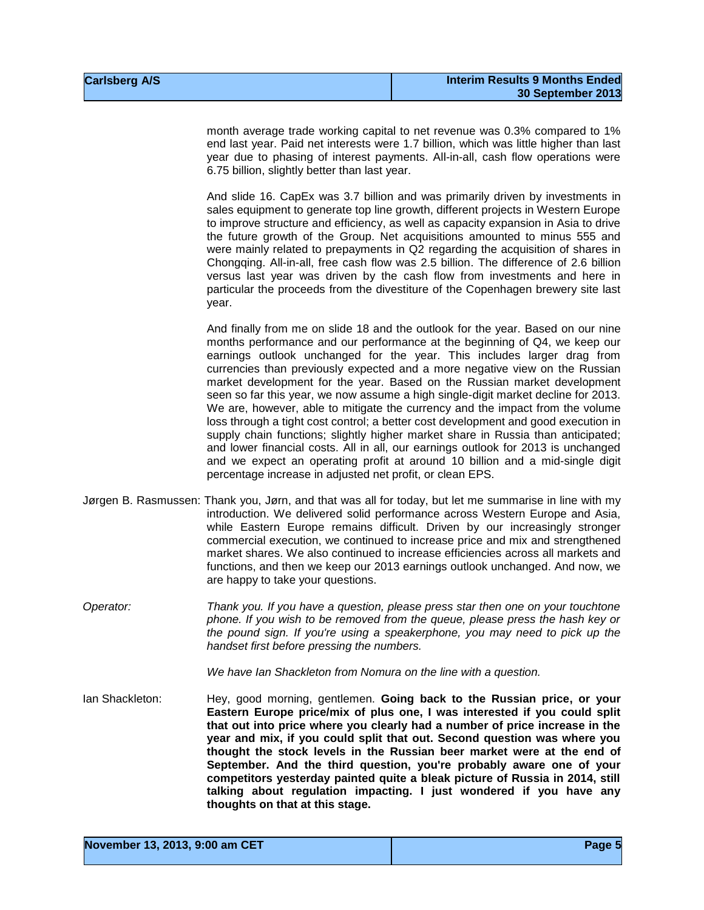month average trade working capital to net revenue was 0.3% compared to 1% end last year. Paid net interests were 1.7 billion, which was little higher than last year due to phasing of interest payments. All-in-all, cash flow operations were 6.75 billion, slightly better than last year.

And slide 16. CapEx was 3.7 billion and was primarily driven by investments in sales equipment to generate top line growth, different projects in Western Europe to improve structure and efficiency, as well as capacity expansion in Asia to drive the future growth of the Group. Net acquisitions amounted to minus 555 and were mainly related to prepayments in Q2 regarding the acquisition of shares in Chongqing. All-in-all, free cash flow was 2.5 billion. The difference of 2.6 billion versus last year was driven by the cash flow from investments and here in particular the proceeds from the divestiture of the Copenhagen brewery site last year.

And finally from me on slide 18 and the outlook for the year. Based on our nine months performance and our performance at the beginning of Q4, we keep our earnings outlook unchanged for the year. This includes larger drag from currencies than previously expected and a more negative view on the Russian market development for the year. Based on the Russian market development seen so far this year, we now assume a high single-digit market decline for 2013. We are, however, able to mitigate the currency and the impact from the volume loss through a tight cost control; a better cost development and good execution in supply chain functions; slightly higher market share in Russia than anticipated; and lower financial costs. All in all, our earnings outlook for 2013 is unchanged and we expect an operating profit at around 10 billion and a mid-single digit percentage increase in adjusted net profit, or clean EPS.

- Jørgen B. Rasmussen: Thank you, Jørn, and that was all for today, but let me summarise in line with my introduction. We delivered solid performance across Western Europe and Asia, while Eastern Europe remains difficult. Driven by our increasingly stronger commercial execution, we continued to increase price and mix and strengthened market shares. We also continued to increase efficiencies across all markets and functions, and then we keep our 2013 earnings outlook unchanged. And now, we are happy to take your questions.
- *Operator: Thank you. If you have a question, please press star then one on your touchtone phone. If you wish to be removed from the queue, please press the hash key or the pound sign. If you're using a speakerphone, you may need to pick up the handset first before pressing the numbers.*

*We have Ian Shackleton from Nomura on the line with a question.*

Ian Shackleton: Hey, good morning, gentlemen. **Going back to the Russian price, or your Eastern Europe price/mix of plus one, I was interested if you could split that out into price where you clearly had a number of price increase in the year and mix, if you could split that out. Second question was where you thought the stock levels in the Russian beer market were at the end of September. And the third question, you're probably aware one of your competitors yesterday painted quite a bleak picture of Russia in 2014, still talking about regulation impacting. I just wondered if you have any thoughts on that at this stage.**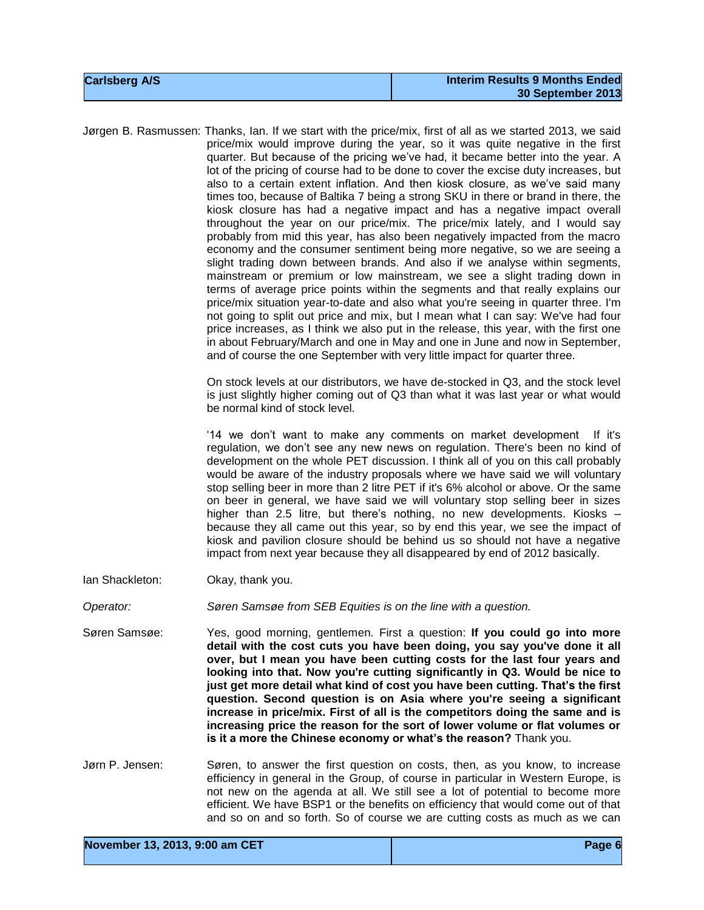| <b>Carlsberg A/S</b> | <b>Interim Results 9 Months Ended</b> |
|----------------------|---------------------------------------|
|                      | 30 September 2013                     |

Jørgen B. Rasmussen: Thanks, Ian. If we start with the price/mix, first of all as we started 2013, we said price/mix would improve during the year, so it was quite negative in the first quarter. But because of the pricing we've had, it became better into the year. A lot of the pricing of course had to be done to cover the excise duty increases, but also to a certain extent inflation. And then kiosk closure, as we've said many times too, because of Baltika 7 being a strong SKU in there or brand in there, the kiosk closure has had a negative impact and has a negative impact overall throughout the year on our price/mix. The price/mix lately, and I would say probably from mid this year, has also been negatively impacted from the macro economy and the consumer sentiment being more negative, so we are seeing a slight trading down between brands. And also if we analyse within segments, mainstream or premium or low mainstream, we see a slight trading down in terms of average price points within the segments and that really explains our price/mix situation year-to-date and also what you're seeing in quarter three. I'm not going to split out price and mix, but I mean what I can say: We've had four price increases, as I think we also put in the release, this year, with the first one in about February/March and one in May and one in June and now in September, and of course the one September with very little impact for quarter three.

> On stock levels at our distributors, we have de-stocked in Q3, and the stock level is just slightly higher coming out of Q3 than what it was last year or what would be normal kind of stock level.

> '14 we don't want to make any comments on market development If it's regulation, we don't see any new news on regulation. There's been no kind of development on the whole PET discussion. I think all of you on this call probably would be aware of the industry proposals where we have said we will voluntary stop selling beer in more than 2 litre PET if it's 6% alcohol or above. Or the same on beer in general, we have said we will voluntary stop selling beer in sizes higher than 2.5 litre, but there's nothing, no new developments. Kiosks – because they all came out this year, so by end this year, we see the impact of kiosk and pavilion closure should be behind us so should not have a negative impact from next year because they all disappeared by end of 2012 basically.

Ian Shackleton: Okay, thank you.

*Operator: Søren Samsøe from SEB Equities is on the line with a question.*

- Søren Samsøe: Yes, good morning, gentlemen. First a question: **If you could go into more detail with the cost cuts you have been doing, you say you've done it all over, but I mean you have been cutting costs for the last four years and looking into that. Now you're cutting significantly in Q3. Would be nice to just get more detail what kind of cost you have been cutting. That's the first question. Second question is on Asia where you're seeing a significant increase in price/mix. First of all is the competitors doing the same and is increasing price the reason for the sort of lower volume or flat volumes or is it a more the Chinese economy or what's the reason?** Thank you.
- Jørn P. Jensen: Søren, to answer the first question on costs, then, as you know, to increase efficiency in general in the Group, of course in particular in Western Europe, is not new on the agenda at all. We still see a lot of potential to become more efficient. We have BSP1 or the benefits on efficiency that would come out of that and so on and so forth. So of course we are cutting costs as much as we can

| November 13, 2013, 9:00 am CET | Page 6 |
|--------------------------------|--------|
|                                |        |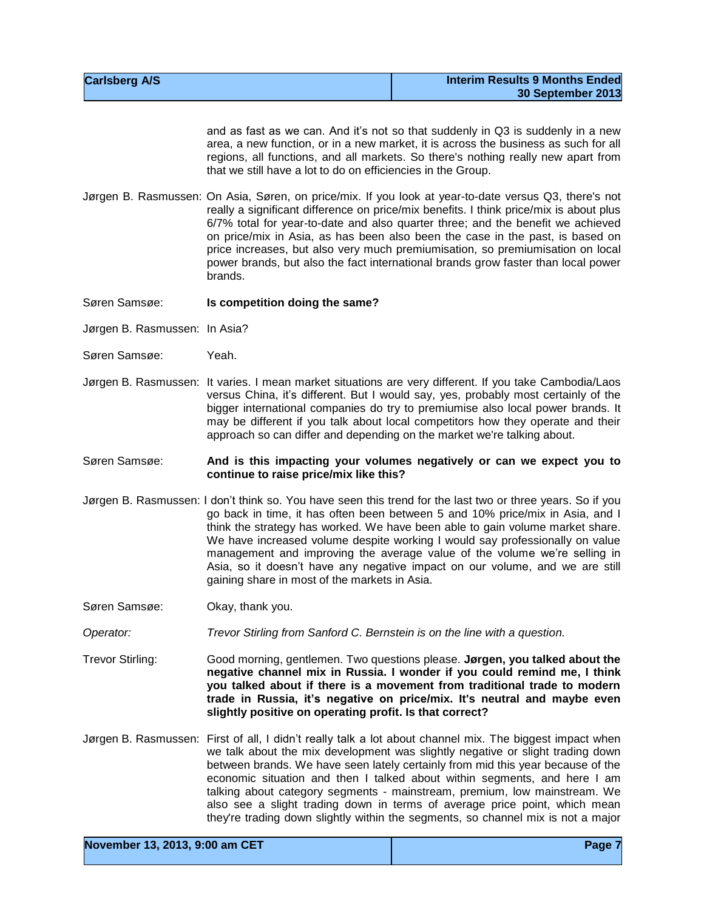| Carlsberg A/S | <b>Interim Results 9 Months Ended</b> |
|---------------|---------------------------------------|
|               | 30 September 2013                     |

and as fast as we can. And it's not so that suddenly in Q3 is suddenly in a new area, a new function, or in a new market, it is across the business as such for all regions, all functions, and all markets. So there's nothing really new apart from that we still have a lot to do on efficiencies in the Group.

Jørgen B. Rasmussen: On Asia, Søren, on price/mix. If you look at year-to-date versus Q3, there's not really a significant difference on price/mix benefits. I think price/mix is about plus 6/7% total for year-to-date and also quarter three; and the benefit we achieved on price/mix in Asia, as has been also been the case in the past, is based on price increases, but also very much premiumisation, so premiumisation on local power brands, but also the fact international brands grow faster than local power brands.

Søren Samsøe: **Is competition doing the same?**

- Jørgen B. Rasmussen: In Asia?
- Søren Samsøe: Yeah.
- Jørgen B. Rasmussen: It varies. I mean market situations are very different. If you take Cambodia/Laos versus China, it's different. But I would say, yes, probably most certainly of the bigger international companies do try to premiumise also local power brands. It may be different if you talk about local competitors how they operate and their approach so can differ and depending on the market we're talking about.

Søren Samsøe: **And is this impacting your volumes negatively or can we expect you to continue to raise price/mix like this?**

- Jørgen B. Rasmussen: I don't think so. You have seen this trend for the last two or three years. So if you go back in time, it has often been between 5 and 10% price/mix in Asia, and I think the strategy has worked. We have been able to gain volume market share. We have increased volume despite working I would say professionally on value management and improving the average value of the volume we're selling in Asia, so it doesn't have any negative impact on our volume, and we are still gaining share in most of the markets in Asia.
- Søren Samsøe: Okay, thank you.
- *Operator: Trevor Stirling from Sanford C. Bernstein is on the line with a question.*
- Trevor Stirling: Good morning, gentlemen. Two questions please. **Jørgen, you talked about the negative channel mix in Russia. I wonder if you could remind me, I think you talked about if there is a movement from traditional trade to modern trade in Russia, it's negative on price/mix. It's neutral and maybe even slightly positive on operating profit. Is that correct?**
- Jørgen B. Rasmussen: First of all, I didn't really talk a lot about channel mix. The biggest impact when we talk about the mix development was slightly negative or slight trading down between brands. We have seen lately certainly from mid this year because of the economic situation and then I talked about within segments, and here I am talking about category segments - mainstream, premium, low mainstream. We also see a slight trading down in terms of average price point, which mean they're trading down slightly within the segments, so channel mix is not a major

| November 13, 2013, 9:00 am CET | Page 7 |
|--------------------------------|--------|
|                                |        |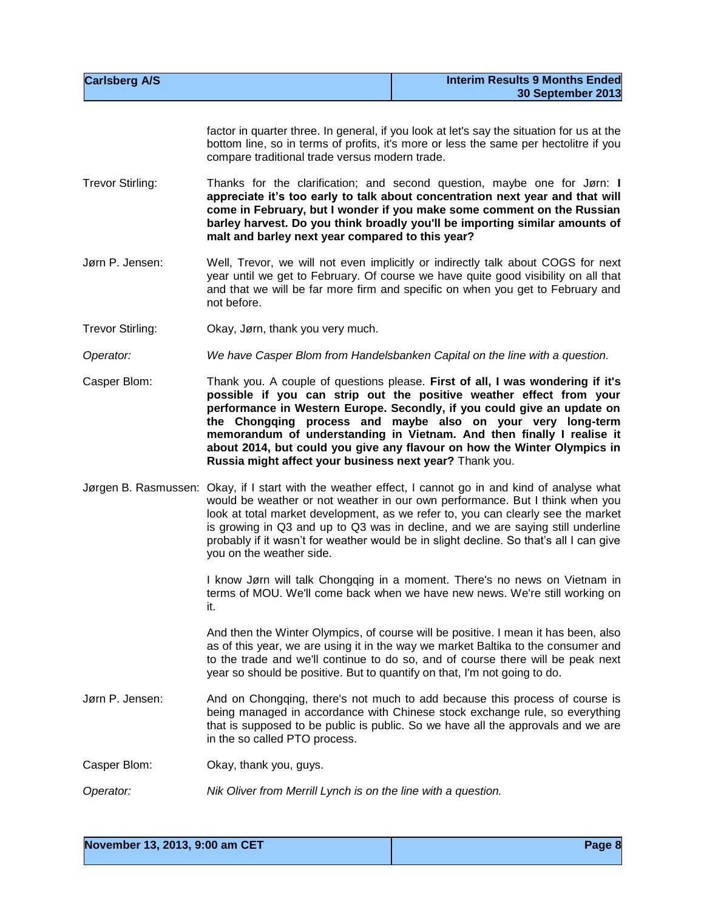| <b>Carlsberg A/S</b> | <b>Interim Results 9 Months Ended</b> |
|----------------------|---------------------------------------|
|                      | 30 September 2013                     |
|                      |                                       |

factor in quarter three. In general, if you look at let's say the situation for us at the bottom line, so in terms of profits, it's more or less the same per hectolitre if you compare traditional trade versus modern trade.

Trevor Stirling: Thanks for the clarification; and second question, maybe one for Jørn: **I appreciate it's too early to talk about concentration next year and that will come in February, but I wonder if you make some comment on the Russian barley harvest. Do you think broadly you'll be importing similar amounts of malt and barley next year compared to this year?**

- Jørn P. Jensen: Well, Trevor, we will not even implicitly or indirectly talk about COGS for next year until we get to February. Of course we have quite good visibility on all that and that we will be far more firm and specific on when you get to February and not before.
- Trevor Stirling: Okay, Jørn, thank you very much.
- *Operator: We have Casper Blom from Handelsbanken Capital on the line with a question.*
- Casper Blom: Thank you. A couple of questions please. **First of all, I was wondering if it's possible if you can strip out the positive weather effect from your performance in Western Europe. Secondly, if you could give an update on the Chongqing process and maybe also on your very long-term memorandum of understanding in Vietnam. And then finally I realise it about 2014, but could you give any flavour on how the Winter Olympics in Russia might affect your business next year?** Thank you.
- Jørgen B. Rasmussen: Okay, if I start with the weather effect, I cannot go in and kind of analyse what would be weather or not weather in our own performance. But I think when you look at total market development, as we refer to, you can clearly see the market is growing in Q3 and up to Q3 was in decline, and we are saying still underline probably if it wasn't for weather would be in slight decline. So that's all I can give you on the weather side.

I know Jørn will talk Chongqing in a moment. There's no news on Vietnam in terms of MOU. We'll come back when we have new news. We're still working on it.

And then the Winter Olympics, of course will be positive. I mean it has been, also as of this year, we are using it in the way we market Baltika to the consumer and to the trade and we'll continue to do so, and of course there will be peak next year so should be positive. But to quantify on that, I'm not going to do.

- Jørn P. Jensen: And on Chongqing, there's not much to add because this process of course is being managed in accordance with Chinese stock exchange rule, so everything that is supposed to be public is public. So we have all the approvals and we are in the so called PTO process.
- Casper Blom: Okay, thank you, guys.
- *Operator: Nik Oliver from Merrill Lynch is on the line with a question.*

| Page 8 |
|--------|
|        |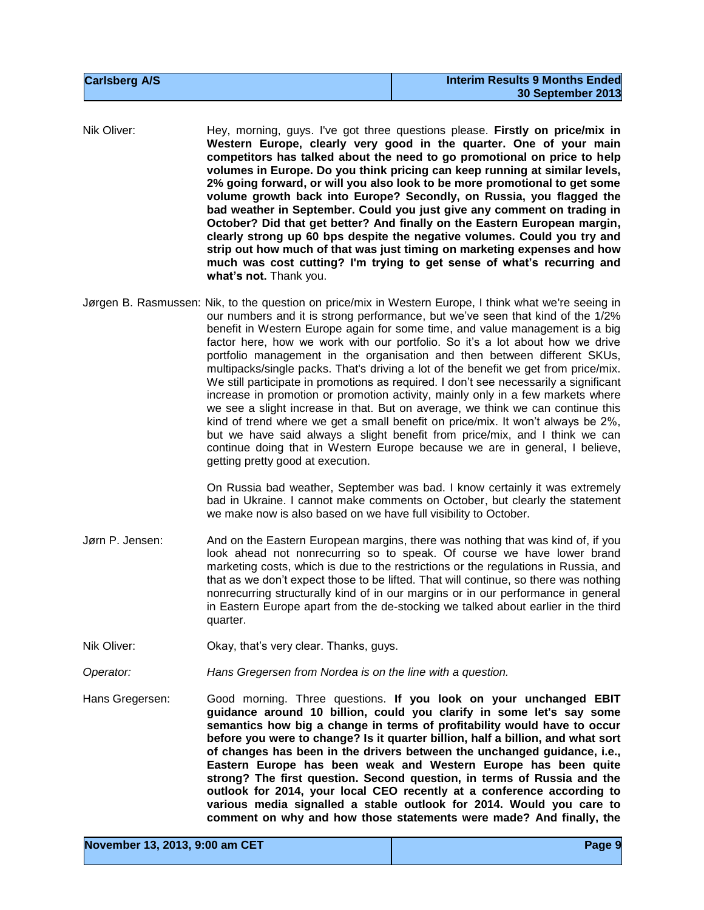| <b>Carlsberg A/S</b> | <b>Interim Results 9 Months Ended</b> |
|----------------------|---------------------------------------|
|                      | 30 September 2013                     |

Nik Oliver: Hey, morning, guys. I've got three questions please. **Firstly on price/mix in Western Europe, clearly very good in the quarter. One of your main competitors has talked about the need to go promotional on price to help volumes in Europe. Do you think pricing can keep running at similar levels, 2% going forward, or will you also look to be more promotional to get some volume growth back into Europe? Secondly, on Russia, you flagged the bad weather in September. Could you just give any comment on trading in October? Did that get better? And finally on the Eastern European margin, clearly strong up 60 bps despite the negative volumes. Could you try and strip out how much of that was just timing on marketing expenses and how much was cost cutting? I'm trying to get sense of what's recurring and what's not.** Thank you.

Jørgen B. Rasmussen: Nik, to the question on price/mix in Western Europe, I think what we're seeing in our numbers and it is strong performance, but we've seen that kind of the 1/2% benefit in Western Europe again for some time, and value management is a big factor here, how we work with our portfolio. So it's a lot about how we drive portfolio management in the organisation and then between different SKUs, multipacks/single packs. That's driving a lot of the benefit we get from price/mix. We still participate in promotions as required. I don't see necessarily a significant increase in promotion or promotion activity, mainly only in a few markets where we see a slight increase in that. But on average, we think we can continue this kind of trend where we get a small benefit on price/mix. It won't always be 2%, but we have said always a slight benefit from price/mix, and I think we can continue doing that in Western Europe because we are in general, I believe, getting pretty good at execution.

> On Russia bad weather, September was bad. I know certainly it was extremely bad in Ukraine. I cannot make comments on October, but clearly the statement we make now is also based on we have full visibility to October.

- Jørn P. Jensen: And on the Eastern European margins, there was nothing that was kind of, if you look ahead not nonrecurring so to speak. Of course we have lower brand marketing costs, which is due to the restrictions or the regulations in Russia, and that as we don't expect those to be lifted. That will continue, so there was nothing nonrecurring structurally kind of in our margins or in our performance in general in Eastern Europe apart from the de-stocking we talked about earlier in the third quarter.
- Nik Oliver: Okay, that's very clear. Thanks, guys.
- *Operator: Hans Gregersen from Nordea is on the line with a question.*
- Hans Gregersen: Good morning. Three questions. **If you look on your unchanged EBIT guidance around 10 billion, could you clarify in some let's say some semantics how big a change in terms of profitability would have to occur before you were to change? Is it quarter billion, half a billion, and what sort of changes has been in the drivers between the unchanged guidance, i.e., Eastern Europe has been weak and Western Europe has been quite strong? The first question. Second question, in terms of Russia and the outlook for 2014, your local CEO recently at a conference according to various media signalled a stable outlook for 2014. Would you care to comment on why and how those statements were made? And finally, the**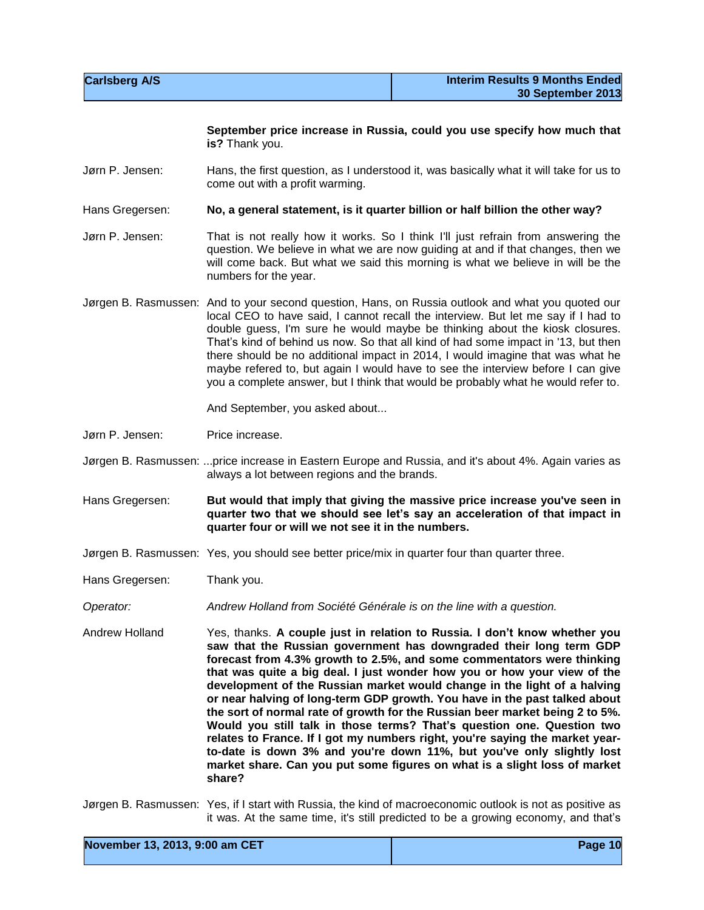| <b>Carlsberg A/S</b> | <b>Interim Results 9 Months Ended</b> |
|----------------------|---------------------------------------|
|                      | 30 September 2013                     |

**September price increase in Russia, could you use specify how much that is?** Thank you.

Jørn P. Jensen: Hans, the first question, as I understood it, was basically what it will take for us to come out with a profit warming.

Hans Gregersen: **No, a general statement, is it quarter billion or half billion the other way?**

- Jørn P. Jensen: That is not really how it works. So I think I'll just refrain from answering the question. We believe in what we are now guiding at and if that changes, then we will come back. But what we said this morning is what we believe in will be the numbers for the year.
- Jørgen B. Rasmussen: And to your second question, Hans, on Russia outlook and what you quoted our local CEO to have said, I cannot recall the interview. But let me say if I had to double guess, I'm sure he would maybe be thinking about the kiosk closures. That's kind of behind us now. So that all kind of had some impact in '13, but then there should be no additional impact in 2014, I would imagine that was what he maybe refered to, but again I would have to see the interview before I can give you a complete answer, but I think that would be probably what he would refer to.

And September, you asked about...

- Jørn P. Jensen: Price increase.
- Jørgen B. Rasmussen: ...price increase in Eastern Europe and Russia, and it's about 4%. Again varies as always a lot between regions and the brands.
- Hans Gregersen: **But would that imply that giving the massive price increase you've seen in quarter two that we should see let's say an acceleration of that impact in quarter four or will we not see it in the numbers.**
- Jørgen B. Rasmussen: Yes, you should see better price/mix in quarter four than quarter three.
- Hans Gregersen: Thank you.
- *Operator: Andrew Holland from Société Générale is on the line with a question.*
- Andrew Holland Yes, thanks. **A couple just in relation to Russia. I don't know whether you saw that the Russian government has downgraded their long term GDP forecast from 4.3% growth to 2.5%, and some commentators were thinking that was quite a big deal. I just wonder how you or how your view of the development of the Russian market would change in the light of a halving or near halving of long-term GDP growth. You have in the past talked about the sort of normal rate of growth for the Russian beer market being 2 to 5%. Would you still talk in those terms? That's question one. Question two relates to France. If I got my numbers right, you're saying the market yearto-date is down 3% and you're down 11%, but you've only slightly lost market share. Can you put some figures on what is a slight loss of market share?**

Jørgen B. Rasmussen: Yes, if I start with Russia, the kind of macroeconomic outlook is not as positive as it was. At the same time, it's still predicted to be a growing economy, and that's

| November 13, 2013, 9:00 am CET | Page 10 |
|--------------------------------|---------|
|                                |         |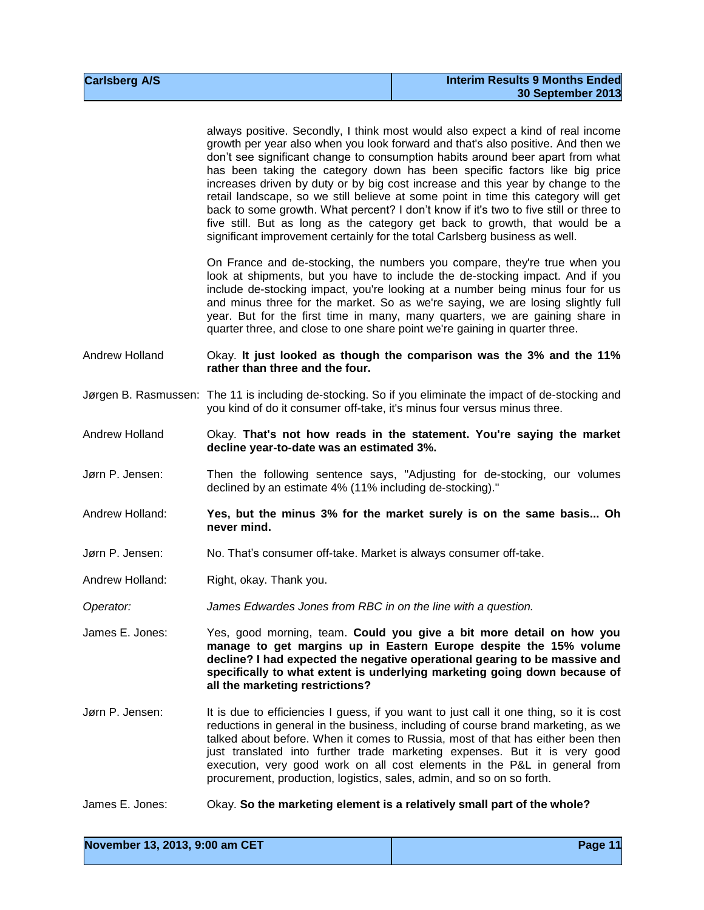always positive. Secondly, I think most would also expect a kind of real income growth per year also when you look forward and that's also positive. And then we don't see significant change to consumption habits around beer apart from what has been taking the category down has been specific factors like big price increases driven by duty or by big cost increase and this year by change to the retail landscape, so we still believe at some point in time this category will get back to some growth. What percent? I don't know if it's two to five still or three to five still. But as long as the category get back to growth, that would be a significant improvement certainly for the total Carlsberg business as well.

On France and de-stocking, the numbers you compare, they're true when you look at shipments, but you have to include the de-stocking impact. And if you include de-stocking impact, you're looking at a number being minus four for us and minus three for the market. So as we're saying, we are losing slightly full year. But for the first time in many, many quarters, we are gaining share in quarter three, and close to one share point we're gaining in quarter three.

Andrew Holland Okay. **It just looked as though the comparison was the 3% and the 11% rather than three and the four.**

Jørgen B. Rasmussen: The 11 is including de-stocking. So if you eliminate the impact of de-stocking and you kind of do it consumer off-take, it's minus four versus minus three.

Andrew Holland Okay. **That's not how reads in the statement. You're saying the market decline year-to-date was an estimated 3%.**

Jørn P. Jensen: Then the following sentence says, "Adjusting for de-stocking, our volumes declined by an estimate 4% (11% including de-stocking)."

Andrew Holland: **Yes, but the minus 3% for the market surely is on the same basis... Oh never mind.**

- Jørn P. Jensen: No. That's consumer off-take. Market is always consumer off-take.
- Andrew Holland: Right, okay. Thank you.
- *Operator: James Edwardes Jones from RBC in on the line with a question.*

James E. Jones: Yes, good morning, team. **Could you give a bit more detail on how you manage to get margins up in Eastern Europe despite the 15% volume decline? I had expected the negative operational gearing to be massive and specifically to what extent is underlying marketing going down because of all the marketing restrictions?**

- Jørn P. Jensen: It is due to efficiencies I guess, if you want to just call it one thing, so it is cost reductions in general in the business, including of course brand marketing, as we talked about before. When it comes to Russia, most of that has either been then just translated into further trade marketing expenses. But it is very good execution, very good work on all cost elements in the P&L in general from procurement, production, logistics, sales, admin, and so on so forth.
- James E. Jones: Okay. **So the marketing element is a relatively small part of the whole?**

| November 13, 2013, 9:00 am CET | Page 11 |
|--------------------------------|---------|
|                                |         |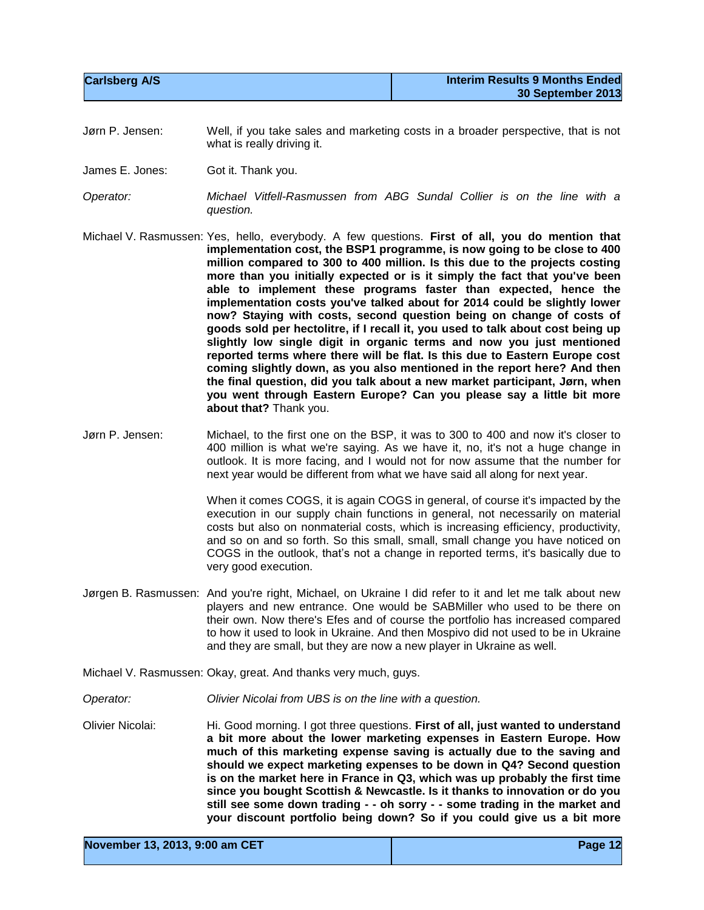| <b>Carlsberg A/S</b> | <b>Interim Results 9 Months Ended</b> |
|----------------------|---------------------------------------|
|                      | 30 September 2013                     |

- Jørn P. Jensen: Well, if you take sales and marketing costs in a broader perspective, that is not what is really driving it.
- James E. Jones: Got it. Thank you.
- *Operator: Michael Vitfell-Rasmussen from ABG Sundal Collier is on the line with a question.*
- Michael V. Rasmussen: Yes, hello, everybody. A few questions. **First of all, you do mention that implementation cost, the BSP1 programme, is now going to be close to 400 million compared to 300 to 400 million. Is this due to the projects costing more than you initially expected or is it simply the fact that you've been able to implement these programs faster than expected, hence the implementation costs you've talked about for 2014 could be slightly lower now? Staying with costs, second question being on change of costs of goods sold per hectolitre, if I recall it, you used to talk about cost being up slightly low single digit in organic terms and now you just mentioned reported terms where there will be flat. Is this due to Eastern Europe cost coming slightly down, as you also mentioned in the report here? And then the final question, did you talk about a new market participant, Jørn, when you went through Eastern Europe? Can you please say a little bit more about that?** Thank you.
- Jørn P. Jensen: Michael, to the first one on the BSP, it was to 300 to 400 and now it's closer to 400 million is what we're saying. As we have it, no, it's not a huge change in outlook. It is more facing, and I would not for now assume that the number for next year would be different from what we have said all along for next year.

When it comes COGS, it is again COGS in general, of course it's impacted by the execution in our supply chain functions in general, not necessarily on material costs but also on nonmaterial costs, which is increasing efficiency, productivity, and so on and so forth. So this small, small, small change you have noticed on COGS in the outlook, that's not a change in reported terms, it's basically due to very good execution.

- Jørgen B. Rasmussen: And you're right, Michael, on Ukraine I did refer to it and let me talk about new players and new entrance. One would be SABMiller who used to be there on their own. Now there's Efes and of course the portfolio has increased compared to how it used to look in Ukraine. And then Mospivo did not used to be in Ukraine and they are small, but they are now a new player in Ukraine as well.
- Michael V. Rasmussen: Okay, great. And thanks very much, guys.
- *Operator: Olivier Nicolai from UBS is on the line with a question.*
- Olivier Nicolai: Hi. Good morning. I got three questions. **First of all, just wanted to understand a bit more about the lower marketing expenses in Eastern Europe. How much of this marketing expense saving is actually due to the saving and should we expect marketing expenses to be down in Q4? Second question is on the market here in France in Q3, which was up probably the first time since you bought Scottish & Newcastle. Is it thanks to innovation or do you still see some down trading - - oh sorry - - some trading in the market and your discount portfolio being down? So if you could give us a bit more**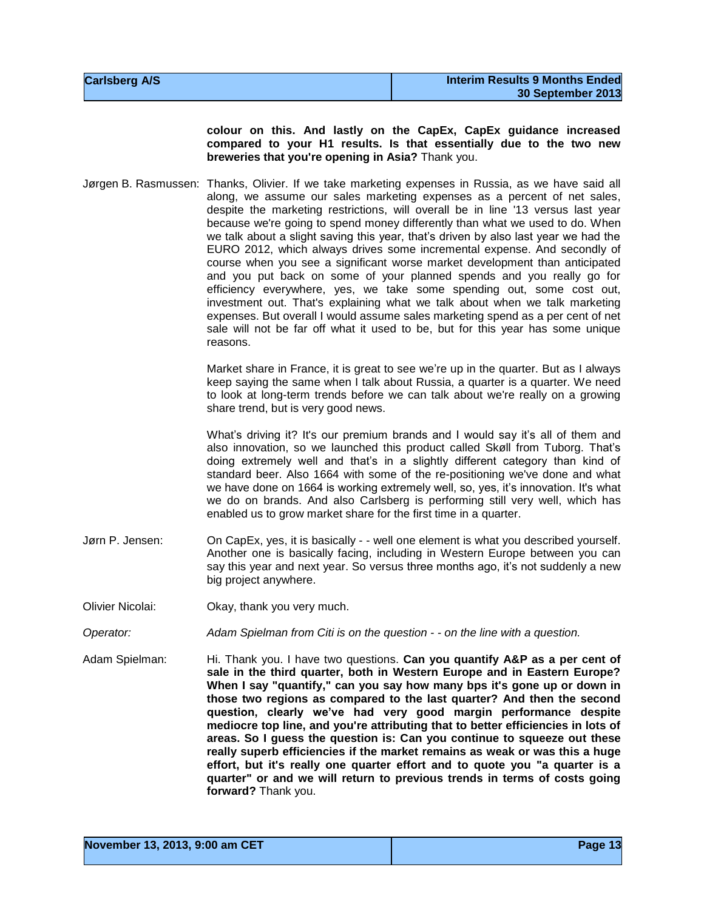**colour on this. And lastly on the CapEx, CapEx guidance increased compared to your H1 results. Is that essentially due to the two new breweries that you're opening in Asia?** Thank you.

Jørgen B. Rasmussen: Thanks, Olivier. If we take marketing expenses in Russia, as we have said all along, we assume our sales marketing expenses as a percent of net sales, despite the marketing restrictions, will overall be in line '13 versus last year because we're going to spend money differently than what we used to do. When we talk about a slight saving this year, that's driven by also last year we had the EURO 2012, which always drives some incremental expense. And secondly of course when you see a significant worse market development than anticipated and you put back on some of your planned spends and you really go for efficiency everywhere, yes, we take some spending out, some cost out, investment out. That's explaining what we talk about when we talk marketing expenses. But overall I would assume sales marketing spend as a per cent of net sale will not be far off what it used to be, but for this year has some unique reasons.

> Market share in France, it is great to see we're up in the quarter. But as I always keep saying the same when I talk about Russia, a quarter is a quarter. We need to look at long-term trends before we can talk about we're really on a growing share trend, but is very good news.

> What's driving it? It's our premium brands and I would say it's all of them and also innovation, so we launched this product called Skøll from Tuborg. That's doing extremely well and that's in a slightly different category than kind of standard beer. Also 1664 with some of the re-positioning we've done and what we have done on 1664 is working extremely well, so, yes, it's innovation. It's what we do on brands. And also Carlsberg is performing still very well, which has enabled us to grow market share for the first time in a quarter.

- Jørn P. Jensen: On CapEx, yes, it is basically - well one element is what you described yourself. Another one is basically facing, including in Western Europe between you can say this year and next year. So versus three months ago, it's not suddenly a new big project anywhere.
- Olivier Nicolai: Okay, thank you very much.

*Operator: Adam Spielman from Citi is on the question - - on the line with a question.*

Adam Spielman: Hi. Thank you. I have two questions. **Can you quantify A&P as a per cent of sale in the third quarter, both in Western Europe and in Eastern Europe? When I say "quantify," can you say how many bps it's gone up or down in those two regions as compared to the last quarter? And then the second question, clearly we've had very good margin performance despite mediocre top line, and you're attributing that to better efficiencies in lots of areas. So I guess the question is: Can you continue to squeeze out these really superb efficiencies if the market remains as weak or was this a huge effort, but it's really one quarter effort and to quote you "a quarter is a quarter" or and we will return to previous trends in terms of costs going forward?** Thank you.

| November 13, 2013, 9:00 am CET | Page 13 |
|--------------------------------|---------|
|--------------------------------|---------|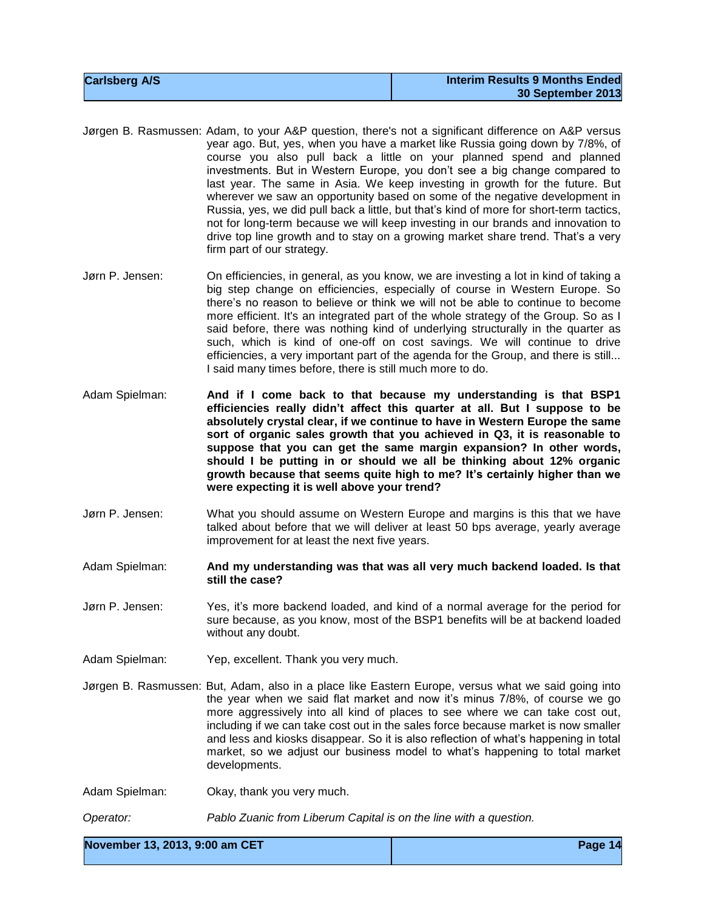| <b>Carlsberg A/S</b> | <b>Interim Results 9 Months Ended</b> |
|----------------------|---------------------------------------|
|                      | 30 September 2013                     |

- Jørgen B. Rasmussen: Adam, to your A&P question, there's not a significant difference on A&P versus year ago. But, yes, when you have a market like Russia going down by 7/8%, of course you also pull back a little on your planned spend and planned investments. But in Western Europe, you don't see a big change compared to last year. The same in Asia. We keep investing in growth for the future. But wherever we saw an opportunity based on some of the negative development in Russia, yes, we did pull back a little, but that's kind of more for short-term tactics, not for long-term because we will keep investing in our brands and innovation to drive top line growth and to stay on a growing market share trend. That's a very firm part of our strategy.
- Jørn P. Jensen: On efficiencies, in general, as you know, we are investing a lot in kind of taking a big step change on efficiencies, especially of course in Western Europe. So there's no reason to believe or think we will not be able to continue to become more efficient. It's an integrated part of the whole strategy of the Group. So as I said before, there was nothing kind of underlying structurally in the quarter as such, which is kind of one-off on cost savings. We will continue to drive efficiencies, a very important part of the agenda for the Group, and there is still... I said many times before, there is still much more to do.
- Adam Spielman: **And if I come back to that because my understanding is that BSP1 efficiencies really didn't affect this quarter at all. But I suppose to be absolutely crystal clear, if we continue to have in Western Europe the same sort of organic sales growth that you achieved in Q3, it is reasonable to suppose that you can get the same margin expansion? In other words, should I be putting in or should we all be thinking about 12% organic growth because that seems quite high to me? It's certainly higher than we were expecting it is well above your trend?**
- Jørn P. Jensen: What you should assume on Western Europe and margins is this that we have talked about before that we will deliver at least 50 bps average, yearly average improvement for at least the next five years.
- Adam Spielman: **And my understanding was that was all very much backend loaded. Is that still the case?**
- Jørn P. Jensen: Yes, it's more backend loaded, and kind of a normal average for the period for sure because, as you know, most of the BSP1 benefits will be at backend loaded without any doubt.
- Adam Spielman: Yep, excellent. Thank you very much.
- Jørgen B. Rasmussen: But, Adam, also in a place like Eastern Europe, versus what we said going into the year when we said flat market and now it's minus 7/8%, of course we go more aggressively into all kind of places to see where we can take cost out, including if we can take cost out in the sales force because market is now smaller and less and kiosks disappear. So it is also reflection of what's happening in total market, so we adjust our business model to what's happening to total market developments.
- Adam Spielman: Okay, thank you very much.
- *Operator: Pablo Zuanic from Liberum Capital is on the line with a question.*

| November 13, 2013, 9:00 am CET | Page 14 |
|--------------------------------|---------|
|--------------------------------|---------|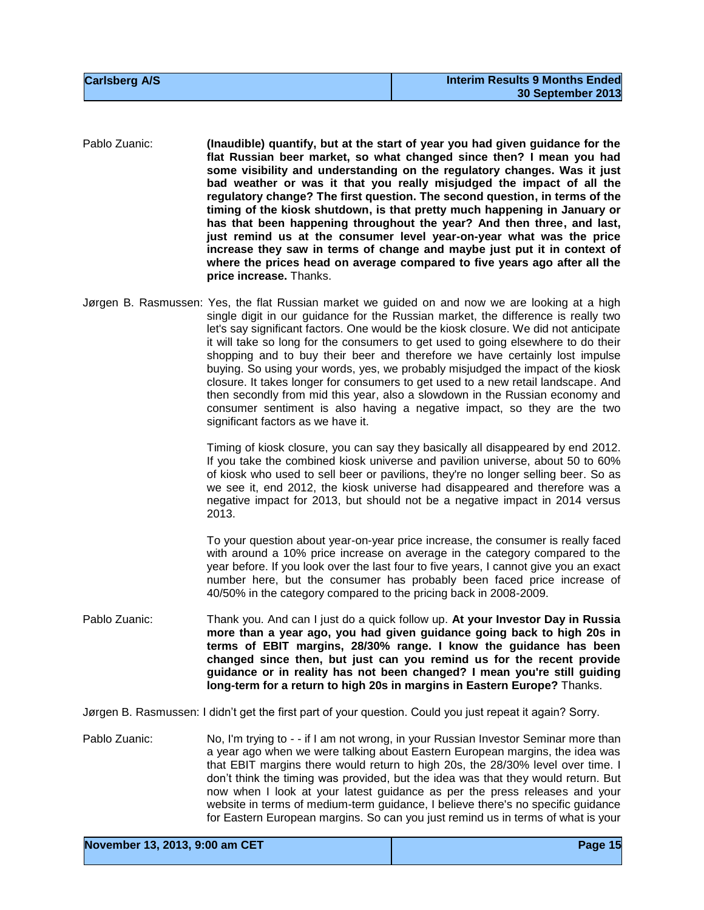Pablo Zuanic: **(Inaudible) quantify, but at the start of year you had given guidance for the flat Russian beer market, so what changed since then? I mean you had some visibility and understanding on the regulatory changes. Was it just bad weather or was it that you really misjudged the impact of all the regulatory change? The first question. The second question, in terms of the timing of the kiosk shutdown, is that pretty much happening in January or has that been happening throughout the year? And then three, and last, just remind us at the consumer level year-on-year what was the price increase they saw in terms of change and maybe just put it in context of where the prices head on average compared to five years ago after all the price increase.** Thanks.

Jørgen B. Rasmussen: Yes, the flat Russian market we guided on and now we are looking at a high single digit in our guidance for the Russian market, the difference is really two let's say significant factors. One would be the kiosk closure. We did not anticipate it will take so long for the consumers to get used to going elsewhere to do their shopping and to buy their beer and therefore we have certainly lost impulse buying. So using your words, yes, we probably misjudged the impact of the kiosk closure. It takes longer for consumers to get used to a new retail landscape. And then secondly from mid this year, also a slowdown in the Russian economy and consumer sentiment is also having a negative impact, so they are the two significant factors as we have it.

> Timing of kiosk closure, you can say they basically all disappeared by end 2012. If you take the combined kiosk universe and pavilion universe, about 50 to 60% of kiosk who used to sell beer or pavilions, they're no longer selling beer. So as we see it, end 2012, the kiosk universe had disappeared and therefore was a negative impact for 2013, but should not be a negative impact in 2014 versus 2013.

> To your question about year-on-year price increase, the consumer is really faced with around a 10% price increase on average in the category compared to the year before. If you look over the last four to five years, I cannot give you an exact number here, but the consumer has probably been faced price increase of 40/50% in the category compared to the pricing back in 2008-2009.

Pablo Zuanic: Thank you. And can I just do a quick follow up. **At your Investor Day in Russia more than a year ago, you had given guidance going back to high 20s in terms of EBIT margins, 28/30% range. I know the guidance has been changed since then, but just can you remind us for the recent provide guidance or in reality has not been changed? I mean you're still guiding long-term for a return to high 20s in margins in Eastern Europe?** Thanks.

Jørgen B. Rasmussen: I didn't get the first part of your question. Could you just repeat it again? Sorry.

Pablo Zuanic: No, I'm trying to - - if I am not wrong, in your Russian Investor Seminar more than a year ago when we were talking about Eastern European margins, the idea was that EBIT margins there would return to high 20s, the 28/30% level over time. I don't think the timing was provided, but the idea was that they would return. But now when I look at your latest guidance as per the press releases and your website in terms of medium-term guidance, I believe there's no specific guidance for Eastern European margins. So can you just remind us in terms of what is your

| November 13, 2013, 9:00 am CET | Page 15 |
|--------------------------------|---------|
|--------------------------------|---------|